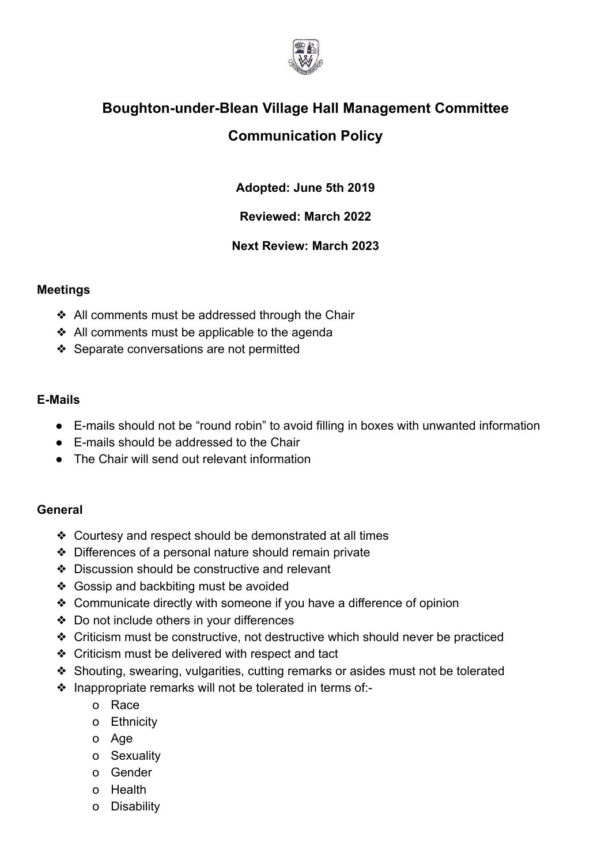

## **Boughton-under-Blean Village Hall Management Committee Communication Policy**

**Adopted: June 5th 2019**

**Reviewed: March 2022**

**Next Review: March 2023**

## **Meetings**

- ❖ All comments must be addressed through the Chair
- ❖ All comments must be applicable to the agenda
- ❖ Separate conversations are not permitted

## **E-Mails**

- E-mails should not be "round robin" to avoid filling in boxes with unwanted information
- E-mails should be addressed to the Chair
- The Chair will send out relevant information

## **General**

- ❖ Courtesy and respect should be demonstrated at all times
- ❖ Differences of a personal nature should remain private
- ❖ Discussion should be constructive and relevant
- ❖ Gossip and backbiting must be avoided
- ❖ Communicate directly with someone if you have a difference of opinion
- ❖ Do not include others in your differences
- ❖ Criticism must be constructive, not destructive which should never be practiced
- ❖ Criticism must be delivered with respect and tact
- ❖ Shouting, swearing, vulgarities, cutting remarks or asides must not be tolerated
- ❖ Inappropriate remarks will not be tolerated in terms of:
	- o Race
	- o Ethnicity
	- o Age
	- o Sexuality
	- o Gender
	- o Health
	- o Disability